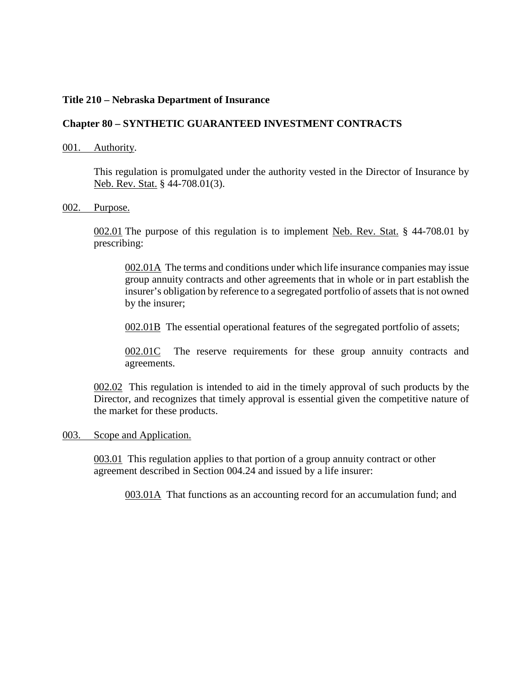# **Title 210 – Nebraska Department of Insurance**

# **Chapter 80 – SYNTHETIC GUARANTEED INVESTMENT CONTRACTS**

### 001. Authority.

This regulation is promulgated under the authority vested in the Director of Insurance by Neb. Rev. Stat. § 44-708.01(3).

## 002. Purpose.

002.01 The purpose of this regulation is to implement Neb. Rev. Stat. § 44-708.01 by prescribing:

002.01A The terms and conditions under which life insurance companies may issue group annuity contracts and other agreements that in whole or in part establish the insurer's obligation by reference to a segregated portfolio of assets that is not owned by the insurer;

002.01B The essential operational features of the segregated portfolio of assets;

002.01C The reserve requirements for these group annuity contracts and agreements.

002.02 This regulation is intended to aid in the timely approval of such products by the Director, and recognizes that timely approval is essential given the competitive nature of the market for these products.

#### 003. Scope and Application.

003.01 This regulation applies to that portion of a group annuity contract or other agreement described in Section 004.24 and issued by a life insurer:

003.01A That functions as an accounting record for an accumulation fund; and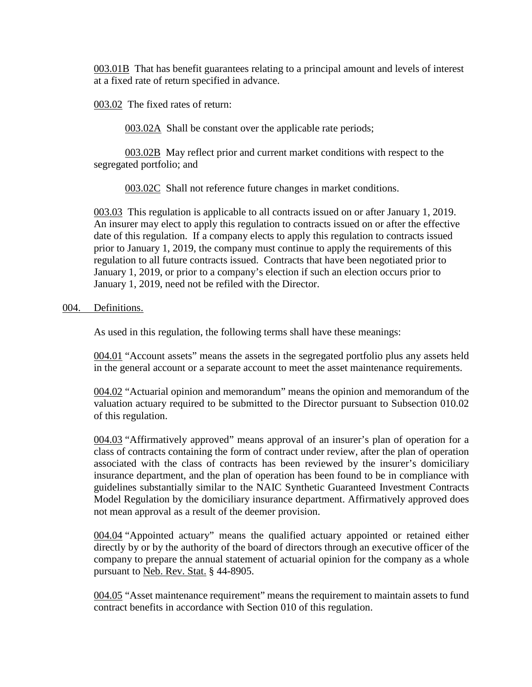003.01B That has benefit guarantees relating to a principal amount and levels of interest at a fixed rate of return specified in advance.

003.02 The fixed rates of return:

003.02A Shall be constant over the applicable rate periods;

003.02B May reflect prior and current market conditions with respect to the segregated portfolio; and

003.02C Shall not reference future changes in market conditions.

003.03 This regulation is applicable to all contracts issued on or after January 1, 2019. An insurer may elect to apply this regulation to contracts issued on or after the effective date of this regulation. If a company elects to apply this regulation to contracts issued prior to January 1, 2019, the company must continue to apply the requirements of this regulation to all future contracts issued. Contracts that have been negotiated prior to January 1, 2019, or prior to a company's election if such an election occurs prior to January 1, 2019, need not be refiled with the Director.

## 004. Definitions.

As used in this regulation, the following terms shall have these meanings:

004.01 "Account assets" means the assets in the segregated portfolio plus any assets held in the general account or a separate account to meet the asset maintenance requirements.

004.02 "Actuarial opinion and memorandum" means the opinion and memorandum of the valuation actuary required to be submitted to the Director pursuant to Subsection 010.02 of this regulation.

004.03 "Affirmatively approved" means approval of an insurer's plan of operation for a class of contracts containing the form of contract under review, after the plan of operation associated with the class of contracts has been reviewed by the insurer's domiciliary insurance department, and the plan of operation has been found to be in compliance with guidelines substantially similar to the NAIC Synthetic Guaranteed Investment Contracts Model Regulation by the domiciliary insurance department. Affirmatively approved does not mean approval as a result of the deemer provision.

004.04 "Appointed actuary" means the qualified actuary appointed or retained either directly by or by the authority of the board of directors through an executive officer of the company to prepare the annual statement of actuarial opinion for the company as a whole pursuant to Neb. Rev. Stat. § 44-8905.

004.05 "Asset maintenance requirement" means the requirement to maintain assets to fund contract benefits in accordance with Section 010 of this regulation.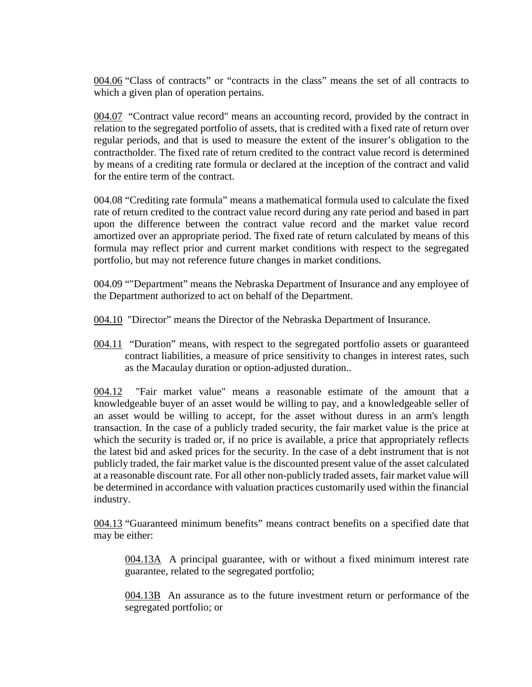004.06 "Class of contracts" or "contracts in the class" means the set of all contracts to which a given plan of operation pertains.

004.07 "Contract value record" means an accounting record, provided by the contract in relation to the segregated portfolio of assets, that is credited with a fixed rate of return over regular periods, and that is used to measure the extent of the insurer's obligation to the contractholder. The fixed rate of return credited to the contract value record is determined by means of a crediting rate formula or declared at the inception of the contract and valid for the entire term of the contract.

004.08 "Crediting rate formula" means a mathematical formula used to calculate the fixed rate of return credited to the contract value record during any rate period and based in part upon the difference between the contract value record and the market value record amortized over an appropriate period. The fixed rate of return calculated by means of this formula may reflect prior and current market conditions with respect to the segregated portfolio, but may not reference future changes in market conditions.

004.09 ""Department" means the Nebraska Department of Insurance and any employee of the Department authorized to act on behalf of the Department.

004.10 "Director" means the Director of the Nebraska Department of Insurance.

004.11 "Duration" means, with respect to the segregated portfolio assets or guaranteed contract liabilities, a measure of price sensitivity to changes in interest rates, such as the Macaulay duration or option-adjusted duration..

004.12 "Fair market value" means a reasonable estimate of the amount that a knowledgeable buyer of an asset would be willing to pay, and a knowledgeable seller of an asset would be willing to accept, for the asset without duress in an arm's length transaction. In the case of a publicly traded security, the fair market value is the price at which the security is traded or, if no price is available, a price that appropriately reflects the latest bid and asked prices for the security. In the case of a debt instrument that is not publicly traded, the fair market value is the discounted present value of the asset calculated at a reasonable discount rate. For all other non-publicly traded assets, fair market value will be determined in accordance with valuation practices customarily used within the financial industry.

004.13 "Guaranteed minimum benefits" means contract benefits on a specified date that may be either:

004.13A A principal guarantee, with or without a fixed minimum interest rate guarantee, related to the segregated portfolio;

004.13B An assurance as to the future investment return or performance of the segregated portfolio; or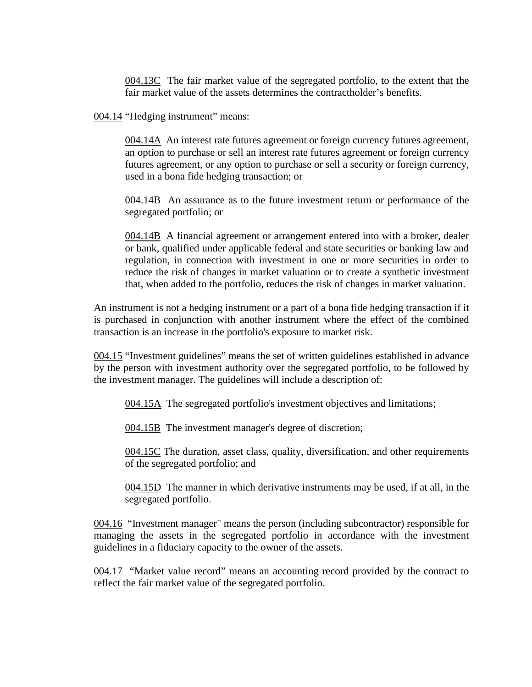004.13C The fair market value of the segregated portfolio, to the extent that the fair market value of the assets determines the contractholder's benefits.

004.14 "Hedging instrument" means:

004.14A An interest rate futures agreement or foreign currency futures agreement, an option to purchase or sell an interest rate futures agreement or foreign currency futures agreement, or any option to purchase or sell a security or foreign currency, used in a bona fide hedging transaction; or

004.14B An assurance as to the future investment return or performance of the segregated portfolio; or

004.14B A financial agreement or arrangement entered into with a broker, dealer or bank, qualified under applicable federal and state securities or banking law and regulation, in connection with investment in one or more securities in order to reduce the risk of changes in market valuation or to create a synthetic investment that, when added to the portfolio, reduces the risk of changes in market valuation.

An instrument is not a hedging instrument or a part of a bona fide hedging transaction if it is purchased in conjunction with another instrument where the effect of the combined transaction is an increase in the portfolio's exposure to market risk.

004.15 "Investment guidelines" means the set of written guidelines established in advance by the person with investment authority over the segregated portfolio, to be followed by the investment manager. The guidelines will include a description of:

004.15A The segregated portfolio's investment objectives and limitations;

004.15B The investment manager's degree of discretion;

004.15C The duration, asset class, quality, diversification, and other requirements of the segregated portfolio; and

004.15D The manner in which derivative instruments may be used, if at all, in the segregated portfolio.

004.16 "Investment manager" means the person (including subcontractor) responsible for managing the assets in the segregated portfolio in accordance with the investment guidelines in a fiduciary capacity to the owner of the assets.

004.17 "Market value record" means an accounting record provided by the contract to reflect the fair market value of the segregated portfolio.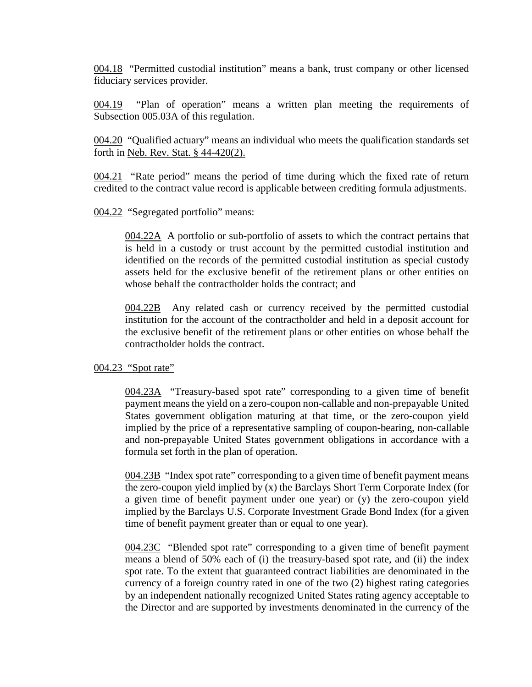004.18 "Permitted custodial institution" means a bank, trust company or other licensed fiduciary services provider.

004.19 "Plan of operation" means a written plan meeting the requirements of Subsection 005.03A of this regulation.

004.20 "Qualified actuary" means an individual who meets the qualification standards set forth in Neb. Rev. Stat. § 44-420(2).

004.21 "Rate period" means the period of time during which the fixed rate of return credited to the contract value record is applicable between crediting formula adjustments.

004.22 "Segregated portfolio" means:

004.22A A portfolio or sub-portfolio of assets to which the contract pertains that is held in a custody or trust account by the permitted custodial institution and identified on the records of the permitted custodial institution as special custody assets held for the exclusive benefit of the retirement plans or other entities on whose behalf the contractholder holds the contract; and

004.22B Any related cash or currency received by the permitted custodial institution for the account of the contractholder and held in a deposit account for the exclusive benefit of the retirement plans or other entities on whose behalf the contractholder holds the contract.

004.23 "Spot rate"

004.23A "Treasury-based spot rate" corresponding to a given time of benefit payment means the yield on a zero-coupon non-callable and non-prepayable United States government obligation maturing at that time, or the zero-coupon yield implied by the price of a representative sampling of coupon-bearing, non-callable and non-prepayable United States government obligations in accordance with a formula set forth in the plan of operation.

004.23B "Index spot rate" corresponding to a given time of benefit payment means the zero-coupon yield implied by (x) the Barclays Short Term Corporate Index (for a given time of benefit payment under one year) or (y) the zero-coupon yield implied by the Barclays U.S. Corporate Investment Grade Bond Index (for a given time of benefit payment greater than or equal to one year).

004.23C "Blended spot rate" corresponding to a given time of benefit payment means a blend of 50% each of (i) the treasury-based spot rate, and (ii) the index spot rate. To the extent that guaranteed contract liabilities are denominated in the currency of a foreign country rated in one of the two (2) highest rating categories by an independent nationally recognized United States rating agency acceptable to the Director and are supported by investments denominated in the currency of the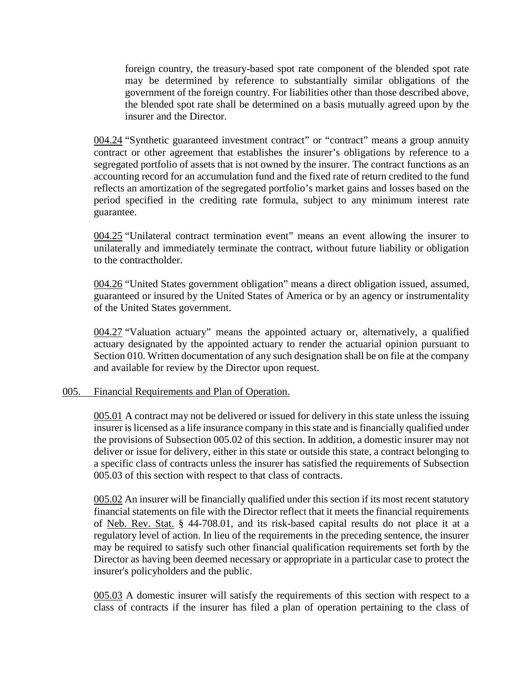foreign country, the treasury-based spot rate component of the blended spot rate may be determined by reference to substantially similar obligations of the government of the foreign country. For liabilities other than those described above, the blended spot rate shall be determined on a basis mutually agreed upon by the insurer and the Director.

004.24 "Synthetic guaranteed investment contract" or "contract" means a group annuity contract or other agreement that establishes the insurer's obligations by reference to a segregated portfolio of assets that is not owned by the insurer. The contract functions as an accounting record for an accumulation fund and the fixed rate of return credited to the fund reflects an amortization of the segregated portfolio's market gains and losses based on the period specified in the crediting rate formula, subject to any minimum interest rate guarantee.

004.25 "Unilateral contract termination event" means an event allowing the insurer to unilaterally and immediately terminate the contract, without future liability or obligation to the contractholder.

004.26 "United States government obligation" means a direct obligation issued, assumed, guaranteed or insured by the United States of America or by an agency or instrumentality of the United States government.

004.27 "Valuation actuary" means the appointed actuary or, alternatively, a qualified actuary designated by the appointed actuary to render the actuarial opinion pursuant to Section 010. Written documentation of any such designation shall be on file at the company and available for review by the Director upon request.

# 005. Financial Requirements and Plan of Operation.

005.01 A contract may not be delivered or issued for delivery in this state unless the issuing insurer is licensed as a life insurance company in this state and is financially qualified under the provisions of Subsection 005.02 of this section. In addition, a domestic insurer may not deliver or issue for delivery, either in this state or outside this state, a contract belonging to a specific class of contracts unless the insurer has satisfied the requirements of Subsection 005.03 of this section with respect to that class of contracts.

005.02 An insurer will be financially qualified under this section if its most recent statutory financial statements on file with the Director reflect that it meets the financial requirements of Neb. Rev. Stat. § 44-708.01, and its risk-based capital results do not place it at a regulatory level of action. In lieu of the requirements in the preceding sentence, the insurer may be required to satisfy such other financial qualification requirements set forth by the Director as having been deemed necessary or appropriate in a particular case to protect the insurer's policyholders and the public.

005.03 A domestic insurer will satisfy the requirements of this section with respect to a class of contracts if the insurer has filed a plan of operation pertaining to the class of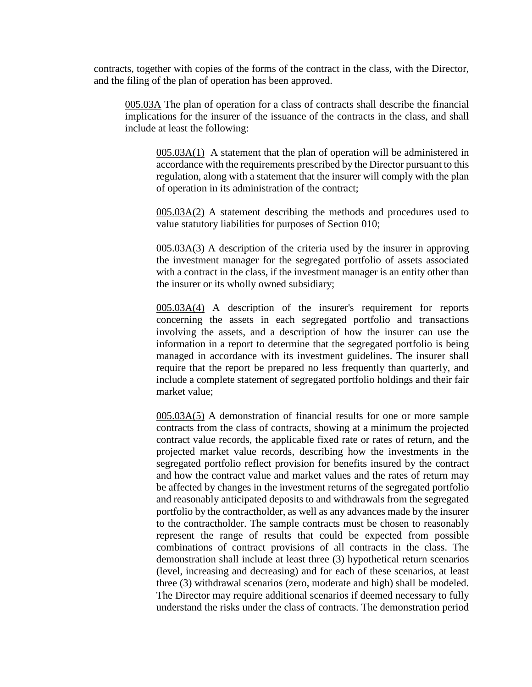contracts, together with copies of the forms of the contract in the class, with the Director, and the filing of the plan of operation has been approved.

005.03A The plan of operation for a class of contracts shall describe the financial implications for the insurer of the issuance of the contracts in the class, and shall include at least the following:

005.03A(1) A statement that the plan of operation will be administered in accordance with the requirements prescribed by the Director pursuant to this regulation, along with a statement that the insurer will comply with the plan of operation in its administration of the contract;

005.03A(2) A statement describing the methods and procedures used to value statutory liabilities for purposes of Section 010;

005.03A(3) A description of the criteria used by the insurer in approving the investment manager for the segregated portfolio of assets associated with a contract in the class, if the investment manager is an entity other than the insurer or its wholly owned subsidiary;

005.03A(4) A description of the insurer's requirement for reports concerning the assets in each segregated portfolio and transactions involving the assets, and a description of how the insurer can use the information in a report to determine that the segregated portfolio is being managed in accordance with its investment guidelines. The insurer shall require that the report be prepared no less frequently than quarterly, and include a complete statement of segregated portfolio holdings and their fair market value;

005.03A(5) A demonstration of financial results for one or more sample contracts from the class of contracts, showing at a minimum the projected contract value records, the applicable fixed rate or rates of return, and the projected market value records, describing how the investments in the segregated portfolio reflect provision for benefits insured by the contract and how the contract value and market values and the rates of return may be affected by changes in the investment returns of the segregated portfolio and reasonably anticipated deposits to and withdrawals from the segregated portfolio by the contractholder, as well as any advances made by the insurer to the contractholder. The sample contracts must be chosen to reasonably represent the range of results that could be expected from possible combinations of contract provisions of all contracts in the class. The demonstration shall include at least three (3) hypothetical return scenarios (level, increasing and decreasing) and for each of these scenarios, at least three (3) withdrawal scenarios (zero, moderate and high) shall be modeled. The Director may require additional scenarios if deemed necessary to fully understand the risks under the class of contracts. The demonstration period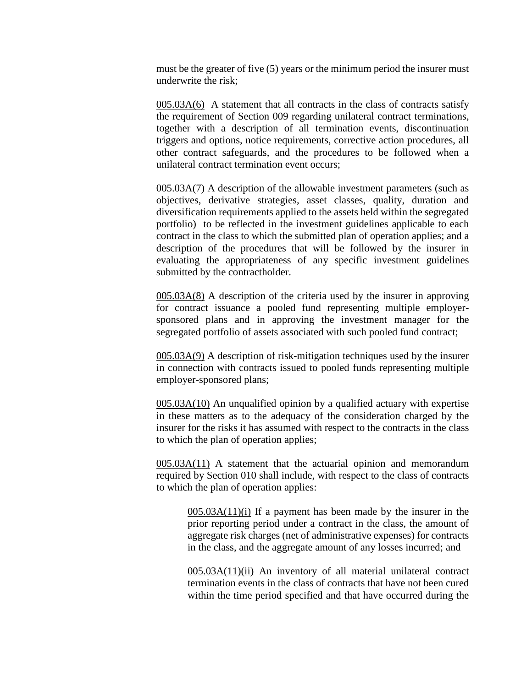must be the greater of five (5) years or the minimum period the insurer must underwrite the risk;

005.03A(6) A statement that all contracts in the class of contracts satisfy the requirement of Section 009 regarding unilateral contract terminations, together with a description of all termination events, discontinuation triggers and options, notice requirements, corrective action procedures, all other contract safeguards, and the procedures to be followed when a unilateral contract termination event occurs;

005.03A(7) A description of the allowable investment parameters (such as objectives, derivative strategies, asset classes, quality, duration and diversification requirements applied to the assets held within the segregated portfolio) to be reflected in the investment guidelines applicable to each contract in the class to which the submitted plan of operation applies; and a description of the procedures that will be followed by the insurer in evaluating the appropriateness of any specific investment guidelines submitted by the contractholder.

005.03A(8) A description of the criteria used by the insurer in approving for contract issuance a pooled fund representing multiple employersponsored plans and in approving the investment manager for the segregated portfolio of assets associated with such pooled fund contract;

005.03A(9) A description of risk-mitigation techniques used by the insurer in connection with contracts issued to pooled funds representing multiple employer-sponsored plans;

005.03A(10) An unqualified opinion by a qualified actuary with expertise in these matters as to the adequacy of the consideration charged by the insurer for the risks it has assumed with respect to the contracts in the class to which the plan of operation applies;

005.03A(11) A statement that the actuarial opinion and memorandum required by Section 010 shall include, with respect to the class of contracts to which the plan of operation applies:

005.03A(11)(i) If a payment has been made by the insurer in the prior reporting period under a contract in the class, the amount of aggregate risk charges (net of administrative expenses) for contracts in the class, and the aggregate amount of any losses incurred; and

005.03A(11)(ii) An inventory of all material unilateral contract termination events in the class of contracts that have not been cured within the time period specified and that have occurred during the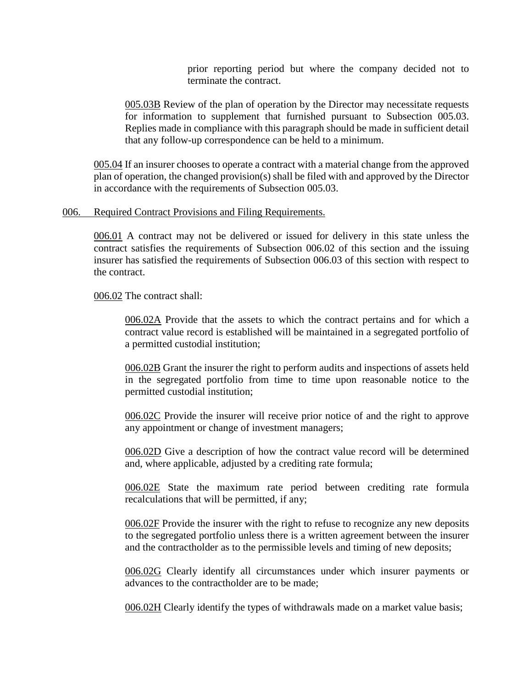prior reporting period but where the company decided not to terminate the contract.

005.03B Review of the plan of operation by the Director may necessitate requests for information to supplement that furnished pursuant to Subsection 005.03. Replies made in compliance with this paragraph should be made in sufficient detail that any follow-up correspondence can be held to a minimum.

005.04 If an insurer chooses to operate a contract with a material change from the approved plan of operation, the changed provision(s) shall be filed with and approved by the Director in accordance with the requirements of Subsection 005.03.

## 006. Required Contract Provisions and Filing Requirements.

006.01 A contract may not be delivered or issued for delivery in this state unless the contract satisfies the requirements of Subsection 006.02 of this section and the issuing insurer has satisfied the requirements of Subsection 006.03 of this section with respect to the contract.

006.02 The contract shall:

006.02A Provide that the assets to which the contract pertains and for which a contract value record is established will be maintained in a segregated portfolio of a permitted custodial institution;

006.02B Grant the insurer the right to perform audits and inspections of assets held in the segregated portfolio from time to time upon reasonable notice to the permitted custodial institution;

006.02C Provide the insurer will receive prior notice of and the right to approve any appointment or change of investment managers;

006.02D Give a description of how the contract value record will be determined and, where applicable, adjusted by a crediting rate formula;

006.02E State the maximum rate period between crediting rate formula recalculations that will be permitted, if any;

006.02F Provide the insurer with the right to refuse to recognize any new deposits to the segregated portfolio unless there is a written agreement between the insurer and the contractholder as to the permissible levels and timing of new deposits;

006.02G Clearly identify all circumstances under which insurer payments or advances to the contractholder are to be made;

006.02H Clearly identify the types of withdrawals made on a market value basis;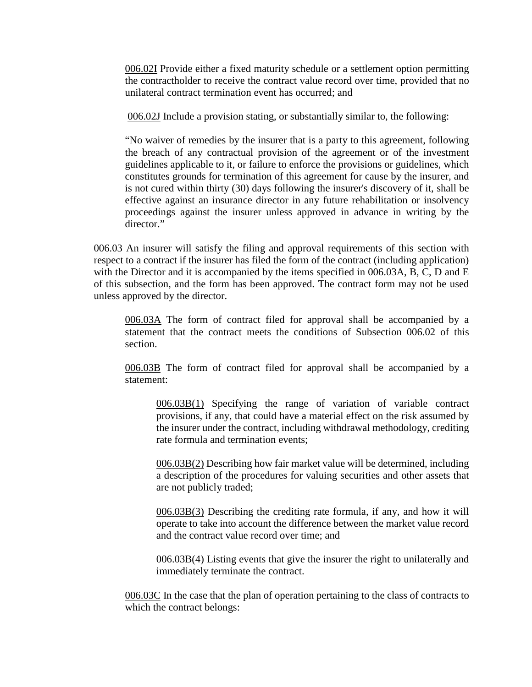006.02I Provide either a fixed maturity schedule or a settlement option permitting the contractholder to receive the contract value record over time, provided that no unilateral contract termination event has occurred; and

006.02J Include a provision stating, or substantially similar to, the following:

"No waiver of remedies by the insurer that is a party to this agreement, following the breach of any contractual provision of the agreement or of the investment guidelines applicable to it, or failure to enforce the provisions or guidelines, which constitutes grounds for termination of this agreement for cause by the insurer, and is not cured within thirty (30) days following the insurer's discovery of it, shall be effective against an insurance director in any future rehabilitation or insolvency proceedings against the insurer unless approved in advance in writing by the director."

006.03 An insurer will satisfy the filing and approval requirements of this section with respect to a contract if the insurer has filed the form of the contract (including application) with the Director and it is accompanied by the items specified in 006.03A, B, C, D and E of this subsection, and the form has been approved. The contract form may not be used unless approved by the director.

006.03A The form of contract filed for approval shall be accompanied by a statement that the contract meets the conditions of Subsection 006.02 of this section.

006.03B The form of contract filed for approval shall be accompanied by a statement:

006.03B(1) Specifying the range of variation of variable contract provisions, if any, that could have a material effect on the risk assumed by the insurer under the contract, including withdrawal methodology, crediting rate formula and termination events;

006.03B(2) Describing how fair market value will be determined, including a description of the procedures for valuing securities and other assets that are not publicly traded;

006.03B(3) Describing the crediting rate formula, if any, and how it will operate to take into account the difference between the market value record and the contract value record over time; and

006.03B(4) Listing events that give the insurer the right to unilaterally and immediately terminate the contract.

006.03C In the case that the plan of operation pertaining to the class of contracts to which the contract belongs: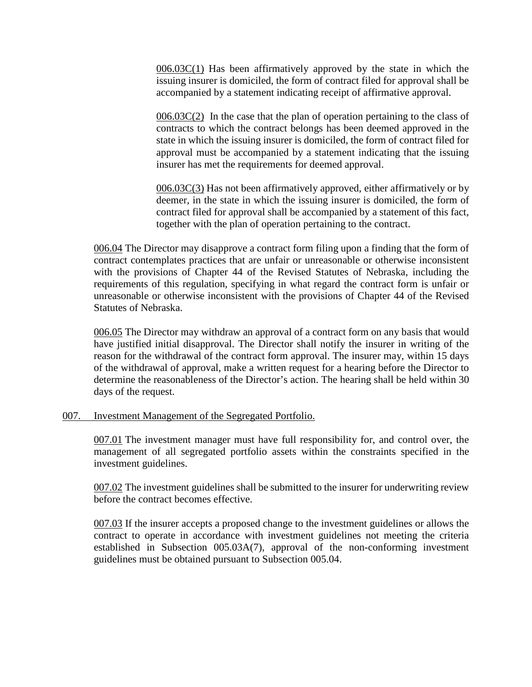006.03C(1) Has been affirmatively approved by the state in which the issuing insurer is domiciled, the form of contract filed for approval shall be accompanied by a statement indicating receipt of affirmative approval.

006.03C(2) In the case that the plan of operation pertaining to the class of contracts to which the contract belongs has been deemed approved in the state in which the issuing insurer is domiciled, the form of contract filed for approval must be accompanied by a statement indicating that the issuing insurer has met the requirements for deemed approval.

 $006.03C(3)$  Has not been affirmatively approved, either affirmatively or by deemer, in the state in which the issuing insurer is domiciled, the form of contract filed for approval shall be accompanied by a statement of this fact, together with the plan of operation pertaining to the contract.

006.04 The Director may disapprove a contract form filing upon a finding that the form of contract contemplates practices that are unfair or unreasonable or otherwise inconsistent with the provisions of Chapter 44 of the Revised Statutes of Nebraska, including the requirements of this regulation, specifying in what regard the contract form is unfair or unreasonable or otherwise inconsistent with the provisions of Chapter 44 of the Revised Statutes of Nebraska.

006.05 The Director may withdraw an approval of a contract form on any basis that would have justified initial disapproval. The Director shall notify the insurer in writing of the reason for the withdrawal of the contract form approval. The insurer may, within 15 days of the withdrawal of approval, make a written request for a hearing before the Director to determine the reasonableness of the Director's action. The hearing shall be held within 30 days of the request.

# 007. Investment Management of the Segregated Portfolio.

007.01 The investment manager must have full responsibility for, and control over, the management of all segregated portfolio assets within the constraints specified in the investment guidelines.

007.02 The investment guidelines shall be submitted to the insurer for underwriting review before the contract becomes effective.

007.03 If the insurer accepts a proposed change to the investment guidelines or allows the contract to operate in accordance with investment guidelines not meeting the criteria established in Subsection 005.03A(7), approval of the non-conforming investment guidelines must be obtained pursuant to Subsection 005.04.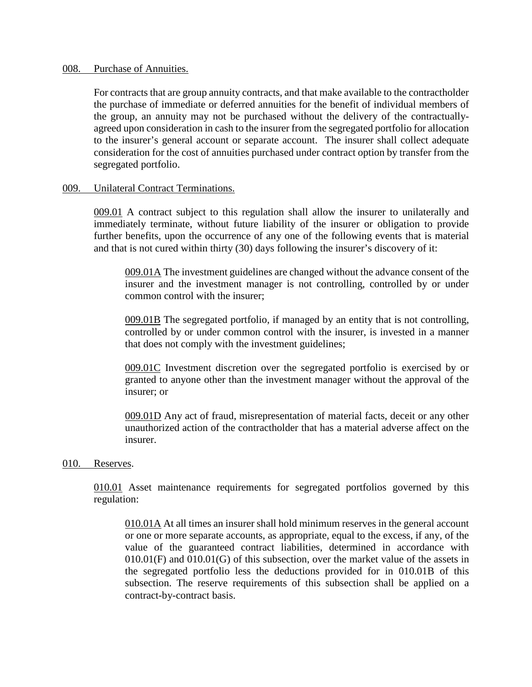#### 008. Purchase of Annuities.

For contracts that are group annuity contracts, and that make available to the contractholder the purchase of immediate or deferred annuities for the benefit of individual members of the group, an annuity may not be purchased without the delivery of the contractuallyagreed upon consideration in cash to the insurer from the segregated portfolio for allocation to the insurer's general account or separate account. The insurer shall collect adequate consideration for the cost of annuities purchased under contract option by transfer from the segregated portfolio.

#### 009. Unilateral Contract Terminations.

009.01 A contract subject to this regulation shall allow the insurer to unilaterally and immediately terminate, without future liability of the insurer or obligation to provide further benefits, upon the occurrence of any one of the following events that is material and that is not cured within thirty (30) days following the insurer's discovery of it:

009.01A The investment guidelines are changed without the advance consent of the insurer and the investment manager is not controlling, controlled by or under common control with the insurer;

009.01B The segregated portfolio, if managed by an entity that is not controlling, controlled by or under common control with the insurer, is invested in a manner that does not comply with the investment guidelines;

009.01C Investment discretion over the segregated portfolio is exercised by or granted to anyone other than the investment manager without the approval of the insurer; or

009.01D Any act of fraud, misrepresentation of material facts, deceit or any other unauthorized action of the contractholder that has a material adverse affect on the insurer.

#### 010. Reserves.

010.01 Asset maintenance requirements for segregated portfolios governed by this regulation:

010.01A At all times an insurer shall hold minimum reserves in the general account or one or more separate accounts, as appropriate, equal to the excess, if any, of the value of the guaranteed contract liabilities, determined in accordance with  $010.01$ (F) and  $010.01$ (G) of this subsection, over the market value of the assets in the segregated portfolio less the deductions provided for in 010.01B of this subsection. The reserve requirements of this subsection shall be applied on a contract-by-contract basis.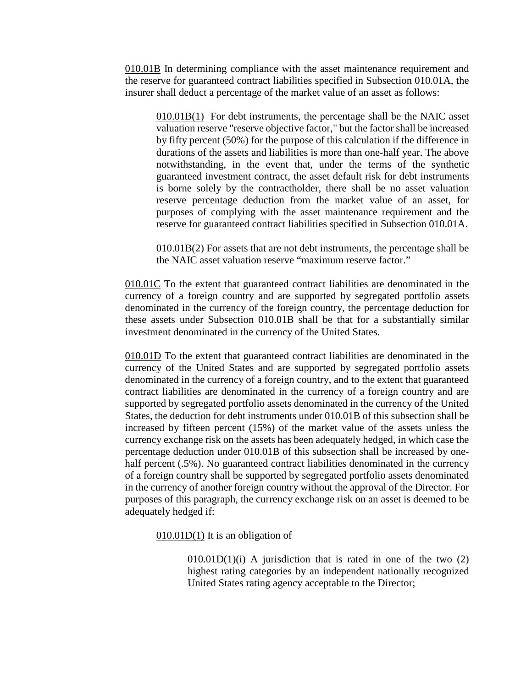010.01B In determining compliance with the asset maintenance requirement and the reserve for guaranteed contract liabilities specified in Subsection 010.01A, the insurer shall deduct a percentage of the market value of an asset as follows:

010.01B(1) For debt instruments, the percentage shall be the NAIC asset valuation reserve "reserve objective factor," but the factor shall be increased by fifty percent (50%) for the purpose of this calculation if the difference in durations of the assets and liabilities is more than one-half year. The above notwithstanding, in the event that, under the terms of the synthetic guaranteed investment contract, the asset default risk for debt instruments is borne solely by the contractholder, there shall be no asset valuation reserve percentage deduction from the market value of an asset, for purposes of complying with the asset maintenance requirement and the reserve for guaranteed contract liabilities specified in Subsection 010.01A.

010.01B(2) For assets that are not debt instruments, the percentage shall be the NAIC asset valuation reserve "maximum reserve factor."

010.01C To the extent that guaranteed contract liabilities are denominated in the currency of a foreign country and are supported by segregated portfolio assets denominated in the currency of the foreign country, the percentage deduction for these assets under Subsection 010.01B shall be that for a substantially similar investment denominated in the currency of the United States.

010.01D To the extent that guaranteed contract liabilities are denominated in the currency of the United States and are supported by segregated portfolio assets denominated in the currency of a foreign country, and to the extent that guaranteed contract liabilities are denominated in the currency of a foreign country and are supported by segregated portfolio assets denominated in the currency of the United States, the deduction for debt instruments under 010.01B of this subsection shall be increased by fifteen percent (15%) of the market value of the assets unless the currency exchange risk on the assets has been adequately hedged, in which case the percentage deduction under 010.01B of this subsection shall be increased by onehalf percent (.5%). No guaranteed contract liabilities denominated in the currency of a foreign country shall be supported by segregated portfolio assets denominated in the currency of another foreign country without the approval of the Director. For purposes of this paragraph, the currency exchange risk on an asset is deemed to be adequately hedged if:

010.01D(1) It is an obligation of

 $010.01D(1)(i)$  A jurisdiction that is rated in one of the two  $(2)$ highest rating categories by an independent nationally recognized United States rating agency acceptable to the Director;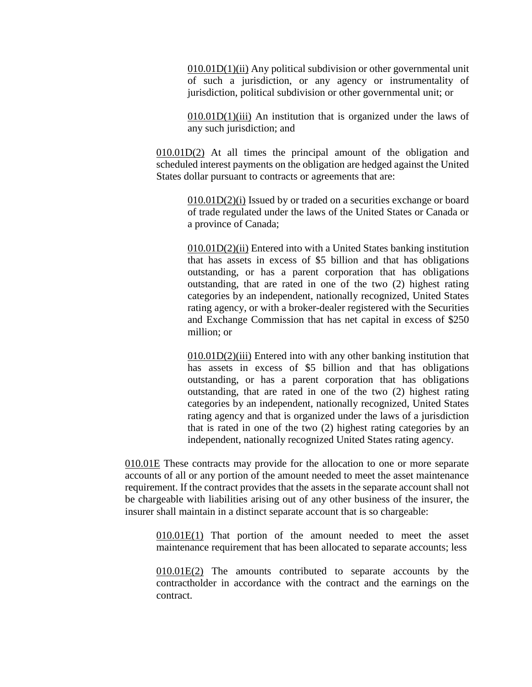010.01D(1)(ii) Any political subdivision or other governmental unit of such a jurisdiction, or any agency or instrumentality of jurisdiction, political subdivision or other governmental unit; or

 $010.01D(1)$ (iii) An institution that is organized under the laws of any such jurisdiction; and

010.01D(2) At all times the principal amount of the obligation and scheduled interest payments on the obligation are hedged against the United States dollar pursuant to contracts or agreements that are:

> $010.01D(2)(i)$  Issued by or traded on a securities exchange or board of trade regulated under the laws of the United States or Canada or a province of Canada;

> 010.01D(2)(ii) Entered into with a United States banking institution that has assets in excess of \$5 billion and that has obligations outstanding, or has a parent corporation that has obligations outstanding, that are rated in one of the two (2) highest rating categories by an independent, nationally recognized, United States rating agency, or with a broker-dealer registered with the Securities and Exchange Commission that has net capital in excess of \$250 million; or

> 010.01D(2)(iii) Entered into with any other banking institution that has assets in excess of \$5 billion and that has obligations outstanding, or has a parent corporation that has obligations outstanding, that are rated in one of the two (2) highest rating categories by an independent, nationally recognized, United States rating agency and that is organized under the laws of a jurisdiction that is rated in one of the two (2) highest rating categories by an independent, nationally recognized United States rating agency.

010.01E These contracts may provide for the allocation to one or more separate accounts of all or any portion of the amount needed to meet the asset maintenance requirement. If the contract provides that the assets in the separate account shall not be chargeable with liabilities arising out of any other business of the insurer, the insurer shall maintain in a distinct separate account that is so chargeable:

010.01E(1) That portion of the amount needed to meet the asset maintenance requirement that has been allocated to separate accounts; less

010.01E(2) The amounts contributed to separate accounts by the contractholder in accordance with the contract and the earnings on the contract.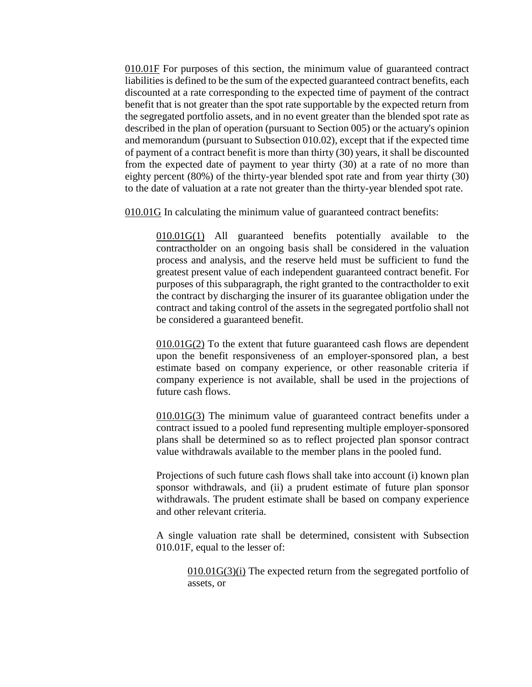010.01F For purposes of this section, the minimum value of guaranteed contract liabilities is defined to be the sum of the expected guaranteed contract benefits, each discounted at a rate corresponding to the expected time of payment of the contract benefit that is not greater than the spot rate supportable by the expected return from the segregated portfolio assets, and in no event greater than the blended spot rate as described in the plan of operation (pursuant to Section 005) or the actuary's opinion and memorandum (pursuant to Subsection 010.02), except that if the expected time of payment of a contract benefit is more than thirty (30) years, it shall be discounted from the expected date of payment to year thirty (30) at a rate of no more than eighty percent (80%) of the thirty-year blended spot rate and from year thirty (30) to the date of valuation at a rate not greater than the thirty-year blended spot rate.

010.01G In calculating the minimum value of guaranteed contract benefits:

010.01G(1) All guaranteed benefits potentially available to the contractholder on an ongoing basis shall be considered in the valuation process and analysis, and the reserve held must be sufficient to fund the greatest present value of each independent guaranteed contract benefit. For purposes of this subparagraph, the right granted to the contractholder to exit the contract by discharging the insurer of its guarantee obligation under the contract and taking control of the assets in the segregated portfolio shall not be considered a guaranteed benefit.

010.01G(2) To the extent that future guaranteed cash flows are dependent upon the benefit responsiveness of an employer-sponsored plan, a best estimate based on company experience, or other reasonable criteria if company experience is not available, shall be used in the projections of future cash flows.

010.01G(3) The minimum value of guaranteed contract benefits under a contract issued to a pooled fund representing multiple employer-sponsored plans shall be determined so as to reflect projected plan sponsor contract value withdrawals available to the member plans in the pooled fund.

Projections of such future cash flows shall take into account (i) known plan sponsor withdrawals, and (ii) a prudent estimate of future plan sponsor withdrawals. The prudent estimate shall be based on company experience and other relevant criteria.

A single valuation rate shall be determined, consistent with Subsection 010.01F, equal to the lesser of:

010.01G(3)(i) The expected return from the segregated portfolio of assets, or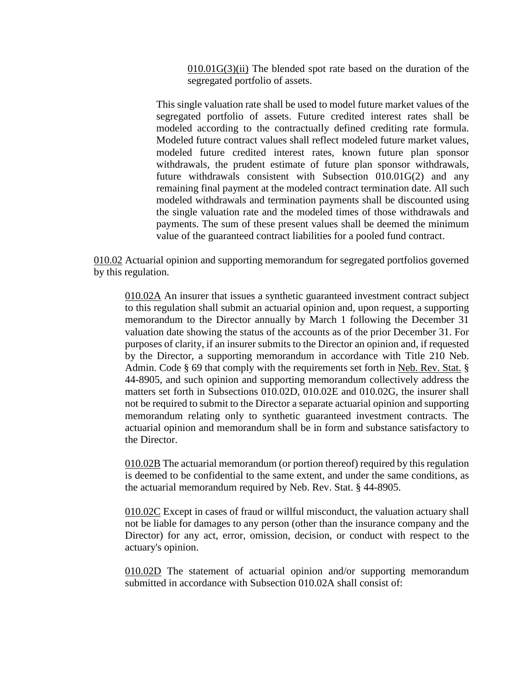010.01G(3)(ii) The blended spot rate based on the duration of the segregated portfolio of assets.

This single valuation rate shall be used to model future market values of the segregated portfolio of assets. Future credited interest rates shall be modeled according to the contractually defined crediting rate formula. Modeled future contract values shall reflect modeled future market values, modeled future credited interest rates, known future plan sponsor withdrawals, the prudent estimate of future plan sponsor withdrawals, future withdrawals consistent with Subsection 010.01G(2) and any remaining final payment at the modeled contract termination date. All such modeled withdrawals and termination payments shall be discounted using the single valuation rate and the modeled times of those withdrawals and payments. The sum of these present values shall be deemed the minimum value of the guaranteed contract liabilities for a pooled fund contract.

010.02 Actuarial opinion and supporting memorandum for segregated portfolios governed by this regulation.

010.02A An insurer that issues a synthetic guaranteed investment contract subject to this regulation shall submit an actuarial opinion and, upon request, a supporting memorandum to the Director annually by March 1 following the December 31 valuation date showing the status of the accounts as of the prior December 31. For purposes of clarity, if an insurer submits to the Director an opinion and, if requested by the Director, a supporting memorandum in accordance with Title 210 Neb. Admin. Code § 69 that comply with the requirements set forth in Neb. Rev. Stat. § 44-8905, and such opinion and supporting memorandum collectively address the matters set forth in Subsections 010.02D, 010.02E and 010.02G, the insurer shall not be required to submit to the Director a separate actuarial opinion and supporting memorandum relating only to synthetic guaranteed investment contracts. The actuarial opinion and memorandum shall be in form and substance satisfactory to the Director.

010.02B The actuarial memorandum (or portion thereof) required by this regulation is deemed to be confidential to the same extent, and under the same conditions, as the actuarial memorandum required by Neb. Rev. Stat. § 44-8905.

010.02C Except in cases of fraud or willful misconduct, the valuation actuary shall not be liable for damages to any person (other than the insurance company and the Director) for any act, error, omission, decision, or conduct with respect to the actuary's opinion.

010.02D The statement of actuarial opinion and/or supporting memorandum submitted in accordance with Subsection 010.02A shall consist of: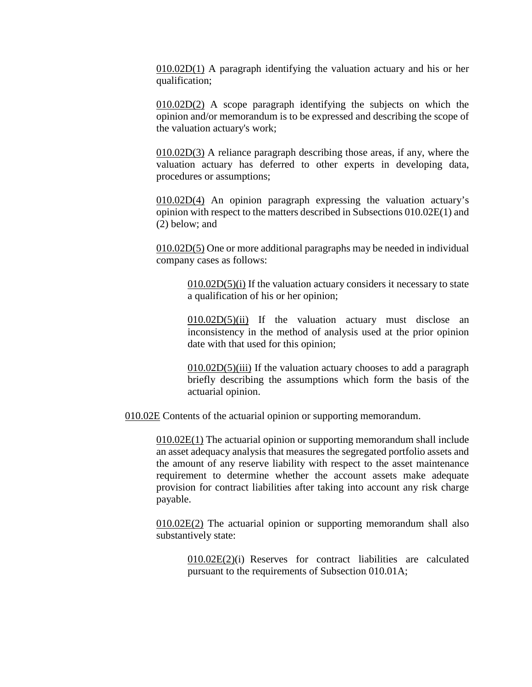$010.02D(1)$  A paragraph identifying the valuation actuary and his or her qualification;

010.02D(2) A scope paragraph identifying the subjects on which the opinion and/or memorandum is to be expressed and describing the scope of the valuation actuary's work;

010.02D(3) A reliance paragraph describing those areas, if any, where the valuation actuary has deferred to other experts in developing data, procedures or assumptions;

010.02D(4) An opinion paragraph expressing the valuation actuary's opinion with respect to the matters described in Subsections 010.02E(1) and (2) below; and

010.02D(5) One or more additional paragraphs may be needed in individual company cases as follows:

 $010.02D(5)(i)$  If the valuation actuary considers it necessary to state a qualification of his or her opinion;

010.02D(5)(ii) If the valuation actuary must disclose an inconsistency in the method of analysis used at the prior opinion date with that used for this opinion;

 $010.02D(5)$ (iii) If the valuation actuary chooses to add a paragraph briefly describing the assumptions which form the basis of the actuarial opinion.

010.02E Contents of the actuarial opinion or supporting memorandum.

010.02E(1) The actuarial opinion or supporting memorandum shall include an asset adequacy analysis that measures the segregated portfolio assets and the amount of any reserve liability with respect to the asset maintenance requirement to determine whether the account assets make adequate provision for contract liabilities after taking into account any risk charge payable.

 $010.02E(2)$  The actuarial opinion or supporting memorandum shall also substantively state:

010.02E(2)(i) Reserves for contract liabilities are calculated pursuant to the requirements of Subsection 010.01A;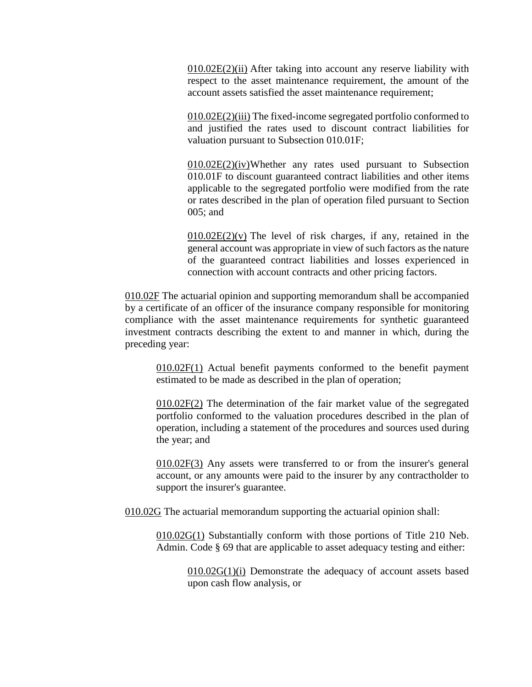010.02E(2)(ii) After taking into account any reserve liability with respect to the asset maintenance requirement, the amount of the account assets satisfied the asset maintenance requirement;

010.02E(2)(iii) The fixed-income segregated portfolio conformed to and justified the rates used to discount contract liabilities for valuation pursuant to Subsection 010.01F;

 $010.02E(2)(iv)$ Whether any rates used pursuant to Subsection 010.01F to discount guaranteed contract liabilities and other items applicable to the segregated portfolio were modified from the rate or rates described in the plan of operation filed pursuant to Section 005; and

 $010.02E(2)(v)$  The level of risk charges, if any, retained in the general account was appropriate in view of such factors as the nature of the guaranteed contract liabilities and losses experienced in connection with account contracts and other pricing factors.

010.02F The actuarial opinion and supporting memorandum shall be accompanied by a certificate of an officer of the insurance company responsible for monitoring compliance with the asset maintenance requirements for synthetic guaranteed investment contracts describing the extent to and manner in which, during the preceding year:

010.02F(1) Actual benefit payments conformed to the benefit payment estimated to be made as described in the plan of operation;

 $010.02F(2)$  The determination of the fair market value of the segregated portfolio conformed to the valuation procedures described in the plan of operation, including a statement of the procedures and sources used during the year; and

010.02F(3) Any assets were transferred to or from the insurer's general account, or any amounts were paid to the insurer by any contractholder to support the insurer's guarantee.

010.02G The actuarial memorandum supporting the actuarial opinion shall:

010.02G(1) Substantially conform with those portions of Title 210 Neb. Admin. Code § 69 that are applicable to asset adequacy testing and either:

010.02G(1)(i) Demonstrate the adequacy of account assets based upon cash flow analysis, or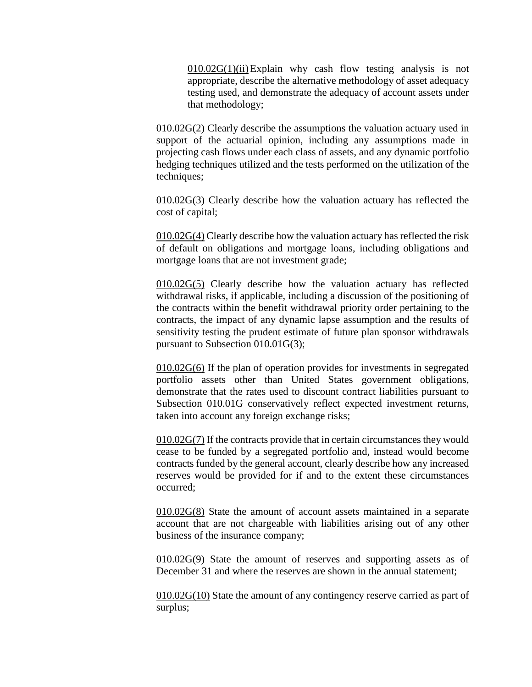$010.02G(1)(ii)$  Explain why cash flow testing analysis is not appropriate, describe the alternative methodology of asset adequacy testing used, and demonstrate the adequacy of account assets under that methodology;

 $010.02G(2)$  Clearly describe the assumptions the valuation actuary used in support of the actuarial opinion, including any assumptions made in projecting cash flows under each class of assets, and any dynamic portfolio hedging techniques utilized and the tests performed on the utilization of the techniques;

010.02G(3) Clearly describe how the valuation actuary has reflected the cost of capital;

010.02G(4) Clearly describe how the valuation actuary has reflected the risk of default on obligations and mortgage loans, including obligations and mortgage loans that are not investment grade;

010.02G(5) Clearly describe how the valuation actuary has reflected withdrawal risks, if applicable, including a discussion of the positioning of the contracts within the benefit withdrawal priority order pertaining to the contracts, the impact of any dynamic lapse assumption and the results of sensitivity testing the prudent estimate of future plan sponsor withdrawals pursuant to Subsection 010.01G(3);

010.02G(6) If the plan of operation provides for investments in segregated portfolio assets other than United States government obligations, demonstrate that the rates used to discount contract liabilities pursuant to Subsection 010.01G conservatively reflect expected investment returns, taken into account any foreign exchange risks;

010.02G(7) If the contracts provide that in certain circumstances they would cease to be funded by a segregated portfolio and, instead would become contracts funded by the general account, clearly describe how any increased reserves would be provided for if and to the extent these circumstances occurred;

010.02G(8) State the amount of account assets maintained in a separate account that are not chargeable with liabilities arising out of any other business of the insurance company;

010.02G(9) State the amount of reserves and supporting assets as of December 31 and where the reserves are shown in the annual statement;

010.02G(10) State the amount of any contingency reserve carried as part of surplus;